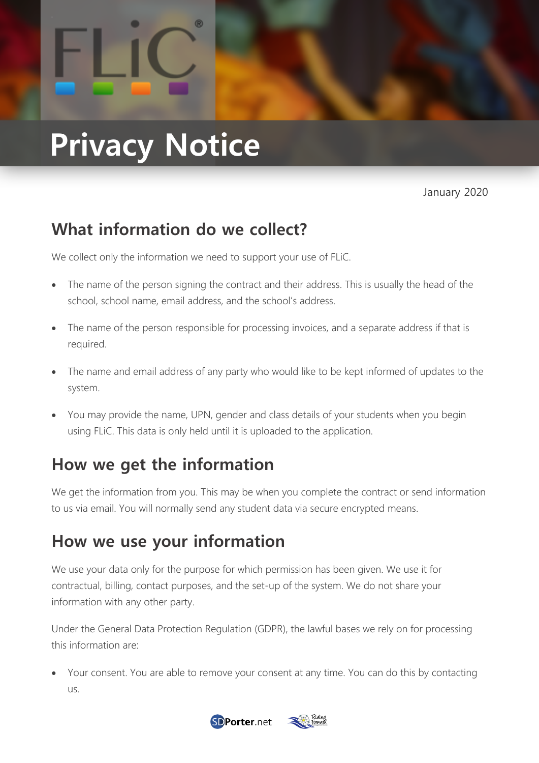# **Privacy Notice** ı

January 2020

## **What information do we collect?**

We collect only the information we need to support your use of FLiC.

®

- The name of the person signing the contract and their address. This is usually the head of the school, school name, email address, and the school's address.
- The name of the person responsible for processing invoices, and a separate address if that is required.
- The name and email address of any party who would like to be kept informed of updates to the system.
- You may provide the name, UPN, gender and class details of your students when you begin using FLiC. This data is only held until it is uploaded to the application.

#### **How we get the information**

We get the information from you. This may be when you complete the contract or send information to us via email. You will normally send any student data via secure encrypted means.

#### **How we use your information**

We use your data only for the purpose for which permission has been given. We use it for contractual, billing, contact purposes, and the set-up of the system. We do not share your information with any other party.

Under the General Data Protection Regulation (GDPR), the lawful bases we rely on for processing this information are:

• Your consent. You are able to remove your consent at any time. You can do this by contacting us.



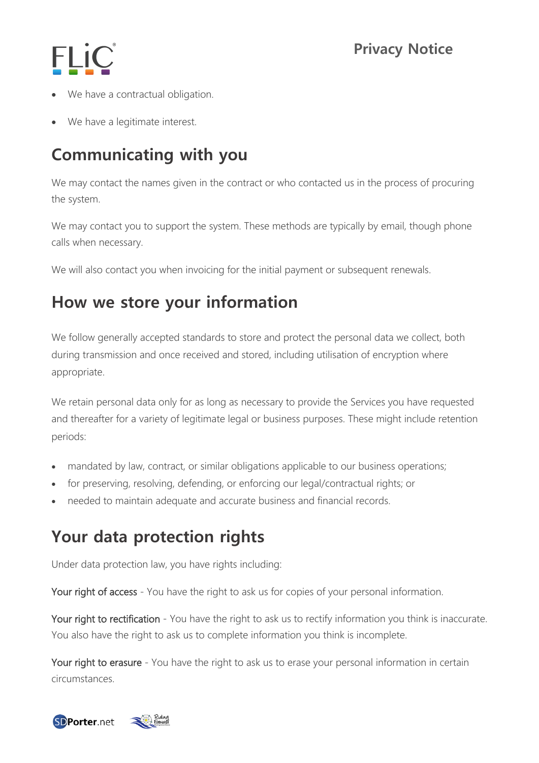

- We have a contractual obligation.
- We have a legitimate interest.

## **Communicating with you**

We may contact the names given in the contract or who contacted us in the process of procuring the system.

We may contact you to support the system. These methods are typically by email, though phone calls when necessary.

We will also contact you when invoicing for the initial payment or subsequent renewals.

#### **How we store your information**

We follow generally accepted standards to store and protect the personal data we collect, both during transmission and once received and stored, including utilisation of encryption where appropriate.

We retain personal data only for as long as necessary to provide the Services you have requested and thereafter for a variety of legitimate legal or business purposes. These might include retention periods:

- mandated by law, contract, or similar obligations applicable to our business operations;
- for preserving, resolving, defending, or enforcing our legal/contractual rights; or
- needed to maintain adequate and accurate business and financial records.

## **Your data protection rights**

Under data protection law, you have rights including:

Your right of access - You have the right to ask us for copies of your personal information.

Your right to rectification - You have the right to ask us to rectify information you think is inaccurate. You also have the right to ask us to complete information you think is incomplete.

Your right to erasure - You have the right to ask us to erase your personal information in certain circumstances.